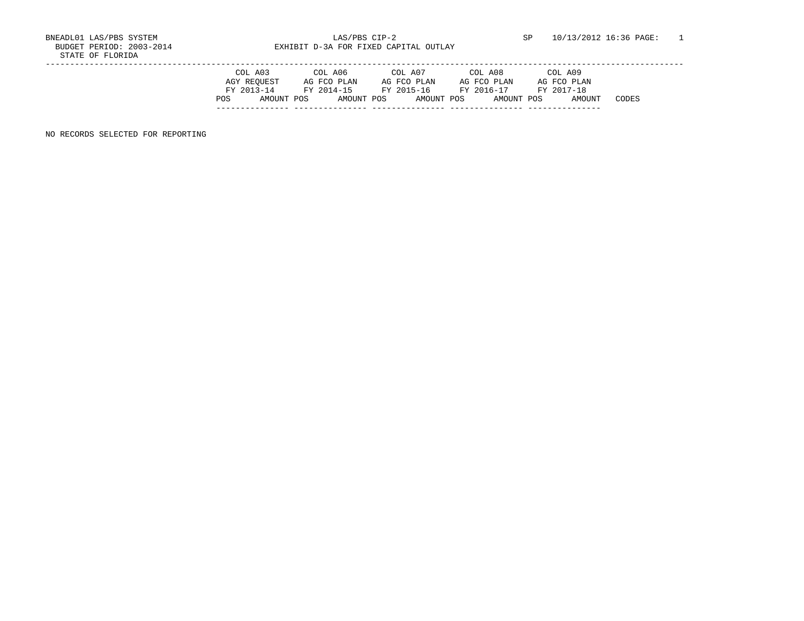BUDGET PERIOD: 2003-2014 **EXHIBIT D-3A FOR FIXED CAPITAL OUTLAY** 

|     | COL A03     | COL A06     |            | COL A07     | COL A08     | COL A09     |       |
|-----|-------------|-------------|------------|-------------|-------------|-------------|-------|
|     | AGY REOUEST | AG FCO PLAN |            | AG FCO PLAN | AG FCO PLAN | AG FCO PLAN |       |
|     | FY 2013-14  | FY 2014-15  |            | FY 2015-16  | FY 2016-17  | FY 2017-18  |       |
| POS | AMOUNT POS  |             | AMOUNT POS | AMOUNT POS  | AMOUNT POS  |             | CODES |
|     |             |             |            |             |             |             |       |

NO RECORDS SELECTED FOR REPORTING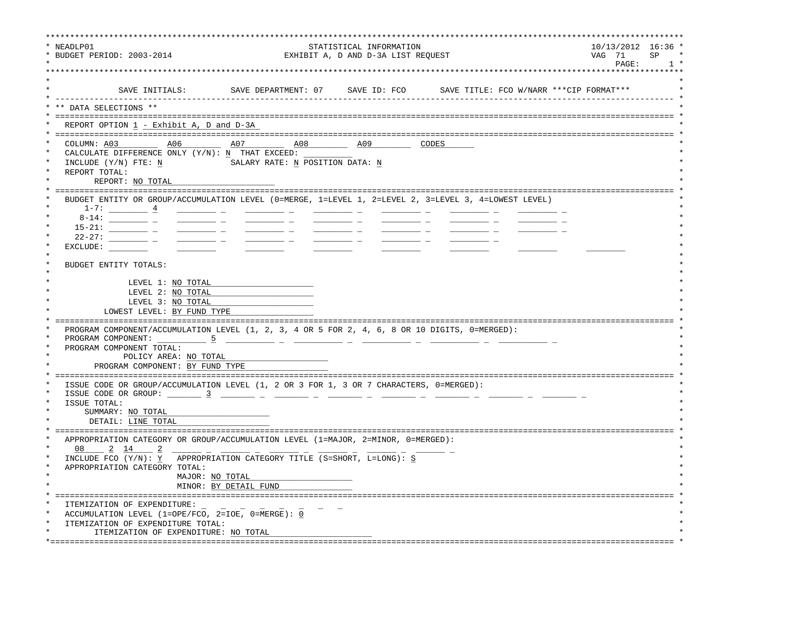| NEADLP01<br>STATISTICAL INFORMATION<br>BUDGET PERIOD: 2003-2014<br>EXHIBIT A, D AND D-3A LIST REQUEST                                                                                                                                                                                                                                                                                                                                                                                                                                                                                                                                                                                                                                                                        | 10/13/2012 16:36 *<br>VAG 71<br>PAGE: | SP<br>1, |
|------------------------------------------------------------------------------------------------------------------------------------------------------------------------------------------------------------------------------------------------------------------------------------------------------------------------------------------------------------------------------------------------------------------------------------------------------------------------------------------------------------------------------------------------------------------------------------------------------------------------------------------------------------------------------------------------------------------------------------------------------------------------------|---------------------------------------|----------|
| SAVE INITIALS: SAVE DEPARTMENT: 07 SAVE ID: FCO SAVE TITLE: FCO W/NARR *** CIP FORMAT***                                                                                                                                                                                                                                                                                                                                                                                                                                                                                                                                                                                                                                                                                     |                                       |          |
| ** DATA SELECTIONS **                                                                                                                                                                                                                                                                                                                                                                                                                                                                                                                                                                                                                                                                                                                                                        |                                       |          |
| REPORT OPTION 1 - Exhibit A, D and D-3A                                                                                                                                                                                                                                                                                                                                                                                                                                                                                                                                                                                                                                                                                                                                      |                                       |          |
| COLUMN: A03 A06<br>CALCULATE DIFFERENCE ONLY $(Y/N): N$ THAT EXCEED:<br>INCLUDE (Y/N) FTE: N<br>SALARY RATE: N POSITION DATA: N<br>REPORT TOTAL:<br>REPORT: NO TOTAL                                                                                                                                                                                                                                                                                                                                                                                                                                                                                                                                                                                                         |                                       |          |
| BUDGET ENTITY OR GROUP/ACCUMULATION LEVEL (0=MERGE, 1=LEVEL 1, 2=LEVEL 2, 3=LEVEL 3, 4=LOWEST LEVEL)<br>$1-7:$ 4<br>$\frac{1}{2}$ and $\frac{1}{2}$ and $\frac{1}{2}$ and $\frac{1}{2}$ and $\frac{1}{2}$ and $\frac{1}{2}$<br>$\frac{1}{2}$ and $\frac{1}{2}$ and $\frac{1}{2}$ and $\frac{1}{2}$ and $\frac{1}{2}$ and $\frac{1}{2}$ and $\frac{1}{2}$ and $\frac{1}{2}$ and $\frac{1}{2}$ and $\frac{1}{2}$ and $\frac{1}{2}$ and $\frac{1}{2}$ and $\frac{1}{2}$ and $\frac{1}{2}$ and $\frac{1}{2}$ and $\frac{1}{2}$ a<br>$\frac{1}{2}$ and $\frac{1}{2}$ and $\frac{1}{2}$ and $\frac{1}{2}$ and $\frac{1}{2}$ and $\frac{1}{2}$ and $\frac{1}{2}$ and $\frac{1}{2}$<br>$22 - 27:$<br>$\frac{1}{2}$ and $\frac{1}{2}$ and $\frac{1}{2}$ and $\frac{1}{2}$<br>EXCLUDE: |                                       |          |
| BUDGET ENTITY TOTALS:                                                                                                                                                                                                                                                                                                                                                                                                                                                                                                                                                                                                                                                                                                                                                        |                                       |          |
| LEVEL 1: NO TOTAL<br>LEVEL 2: NO TOTAL                                                                                                                                                                                                                                                                                                                                                                                                                                                                                                                                                                                                                                                                                                                                       |                                       |          |
| LEVEL 3: NO TOTAL                                                                                                                                                                                                                                                                                                                                                                                                                                                                                                                                                                                                                                                                                                                                                            |                                       |          |
| LOWEST LEVEL: BY FUND TYPE                                                                                                                                                                                                                                                                                                                                                                                                                                                                                                                                                                                                                                                                                                                                                   |                                       |          |
| PROGRAM COMPONENT/ACCUMULATION LEVEL (1, 2, 3, 4 OR 5 FOR 2, 4, 6, 8 OR 10 DIGITS, 0=MERGED):                                                                                                                                                                                                                                                                                                                                                                                                                                                                                                                                                                                                                                                                                |                                       |          |
| <u> 2002 - 2003 - 2003 - 2004 - 2005 - 200</u>                                                                                                                                                                                                                                                                                                                                                                                                                                                                                                                                                                                                                                                                                                                               |                                       |          |
| PROGRAM COMPONENT TOTAL:<br>POLICY AREA: NO TOTAL                                                                                                                                                                                                                                                                                                                                                                                                                                                                                                                                                                                                                                                                                                                            |                                       |          |
| PROGRAM COMPONENT: BY FUND TYPE                                                                                                                                                                                                                                                                                                                                                                                                                                                                                                                                                                                                                                                                                                                                              |                                       |          |
| ================================                                                                                                                                                                                                                                                                                                                                                                                                                                                                                                                                                                                                                                                                                                                                             |                                       |          |
| ISSUE CODE OR GROUP/ACCUMULATION LEVEL (1, 2 OR 3 FOR 1, 3 OR 7 CHARACTERS, 0=MERGED):                                                                                                                                                                                                                                                                                                                                                                                                                                                                                                                                                                                                                                                                                       |                                       |          |
| ISSUE CODE OR GROUP: $\frac{3}{2}$ $\frac{1}{2}$ $\frac{1}{2}$ $\frac{1}{2}$ $\frac{1}{2}$ $\frac{1}{2}$ $\frac{1}{2}$ $\frac{1}{2}$ $\frac{1}{2}$ $\frac{1}{2}$<br>ISSUE TOTAL:                                                                                                                                                                                                                                                                                                                                                                                                                                                                                                                                                                                             |                                       |          |
| SUMMARY: NO TOTAL                                                                                                                                                                                                                                                                                                                                                                                                                                                                                                                                                                                                                                                                                                                                                            |                                       |          |
| DETAIL: LINE TOTAL                                                                                                                                                                                                                                                                                                                                                                                                                                                                                                                                                                                                                                                                                                                                                           |                                       |          |
| APPROPRIATION CATEGORY OR GROUP/ACCUMULATION LEVEL (1=MAJOR, 2=MINOR, 0=MERGED):                                                                                                                                                                                                                                                                                                                                                                                                                                                                                                                                                                                                                                                                                             |                                       |          |
| 08<br>2 14                                                                                                                                                                                                                                                                                                                                                                                                                                                                                                                                                                                                                                                                                                                                                                   |                                       |          |
| INCLUDE FCO (Y/N): Y APPROPRIATION CATEGORY TITLE (S=SHORT, L=LONG): S                                                                                                                                                                                                                                                                                                                                                                                                                                                                                                                                                                                                                                                                                                       |                                       |          |
| APPROPRIATION CATEGORY TOTAL:                                                                                                                                                                                                                                                                                                                                                                                                                                                                                                                                                                                                                                                                                                                                                |                                       |          |
| MAJOR: NO TOTAL                                                                                                                                                                                                                                                                                                                                                                                                                                                                                                                                                                                                                                                                                                                                                              |                                       |          |
| MINOR: BY DETAIL FUND                                                                                                                                                                                                                                                                                                                                                                                                                                                                                                                                                                                                                                                                                                                                                        |                                       |          |
| ITEMIZATION OF EXPENDITURE:                                                                                                                                                                                                                                                                                                                                                                                                                                                                                                                                                                                                                                                                                                                                                  |                                       |          |
| ACCUMULATION LEVEL (1=OPE/FCO, 2=IOE, 0=MERGE): $\underline{0}$                                                                                                                                                                                                                                                                                                                                                                                                                                                                                                                                                                                                                                                                                                              |                                       |          |
| ITEMIZATION OF EXPENDITURE TOTAL:                                                                                                                                                                                                                                                                                                                                                                                                                                                                                                                                                                                                                                                                                                                                            |                                       |          |
| ITEMIZATION OF EXPENDITURE: NO TOTAL                                                                                                                                                                                                                                                                                                                                                                                                                                                                                                                                                                                                                                                                                                                                         |                                       |          |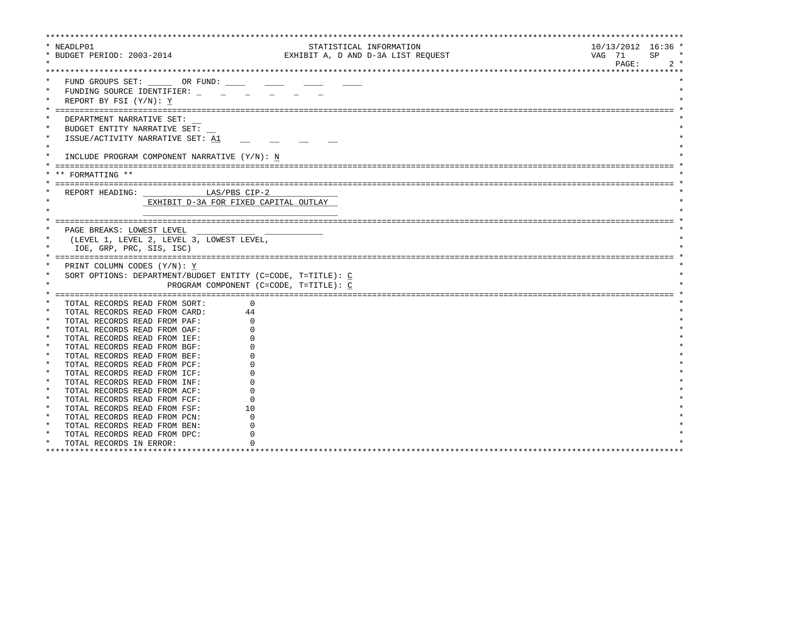| * NEADLP01                                                     |                                                             | STATISTICAL INFORMATION            | $10/13/2012$ 16:36 * |
|----------------------------------------------------------------|-------------------------------------------------------------|------------------------------------|----------------------|
| * BUDGET PERIOD: 2003-2014                                     |                                                             | EXHIBIT A, D AND D-3A LIST REQUEST | VAG 71<br>SP         |
|                                                                |                                                             |                                    | PAGE:<br>$2 *$       |
|                                                                |                                                             |                                    |                      |
| FUND GROUPS SET: OR FUND:                                      |                                                             |                                    |                      |
| $\star$<br>FUNDING SOURCE IDENTIFIER:                          |                                                             |                                    |                      |
| REPORT BY FSI (Y/N): Y                                         |                                                             |                                    |                      |
|                                                                |                                                             |                                    |                      |
| DEPARTMENT NARRATIVE SET:                                      |                                                             |                                    |                      |
| BUDGET ENTITY NARRATIVE SET:                                   |                                                             |                                    |                      |
| $\star$<br>ISSUE/ACTIVITY NARRATIVE SET: A1                    |                                                             |                                    |                      |
| $\star$                                                        |                                                             |                                    |                      |
| INCLUDE PROGRAM COMPONENT NARRATIVE (Y/N): N                   |                                                             |                                    |                      |
|                                                                |                                                             |                                    |                      |
| FORMATTING **                                                  |                                                             |                                    |                      |
|                                                                |                                                             |                                    |                      |
| REPORT HEADING: LAS/PBS CIP-2                                  |                                                             |                                    |                      |
|                                                                | EXHIBIT D-3A FOR FIXED CAPITAL OUTLAY                       |                                    |                      |
|                                                                |                                                             |                                    |                      |
|                                                                |                                                             |                                    |                      |
| PAGE BREAKS: LOWEST LEVEL                                      |                                                             |                                    |                      |
| (LEVEL 1, LEVEL 2, LEVEL 3, LOWEST LEVEL,                      |                                                             |                                    |                      |
| IOE, GRP, PRC, SIS, ISC)                                       |                                                             |                                    |                      |
|                                                                |                                                             |                                    |                      |
| PRINT COLUMN CODES (Y/N): Y                                    |                                                             |                                    |                      |
|                                                                | SORT OPTIONS: DEPARTMENT/BUDGET ENTITY (C=CODE, T=TITLE): C |                                    |                      |
|                                                                | PROGRAM COMPONENT (C=CODE, T=TITLE): C                      |                                    |                      |
|                                                                |                                                             |                                    |                      |
|                                                                | $\Omega$                                                    |                                    |                      |
| TOTAL RECORDS READ FROM SORT:<br>TOTAL RECORDS READ FROM CARD: | 44                                                          |                                    |                      |
| TOTAL RECORDS READ FROM PAF:                                   |                                                             |                                    |                      |
| $\star$<br>TOTAL RECORDS READ FROM OAF:                        |                                                             |                                    |                      |
| $\star$<br>TOTAL RECORDS READ FROM IEF:                        |                                                             |                                    |                      |
| $\star$<br>TOTAL RECORDS READ FROM BGF:                        |                                                             |                                    |                      |
| $\star$<br>TOTAL RECORDS READ FROM BEF:                        |                                                             |                                    |                      |
| TOTAL RECORDS READ FROM PCF:                                   |                                                             |                                    |                      |
| TOTAL RECORDS READ FROM ICF:                                   |                                                             |                                    |                      |
| $\star$<br>TOTAL RECORDS READ FROM INF:                        |                                                             |                                    |                      |
| $\star$<br>TOTAL RECORDS READ FROM ACF:                        |                                                             |                                    |                      |
| $\star$<br>TOTAL RECORDS READ FROM FCF:                        |                                                             |                                    |                      |
| TOTAL RECORDS READ FROM FSF:                                   | 10                                                          |                                    |                      |
| TOTAL RECORDS READ FROM PCN:                                   |                                                             |                                    |                      |
| $\star$<br>TOTAL RECORDS READ FROM BEN:                        |                                                             |                                    |                      |
| $\star$<br>TOTAL RECORDS READ FROM DPC:                        |                                                             |                                    |                      |
| TOTAL RECORDS IN ERROR:                                        |                                                             |                                    |                      |
|                                                                |                                                             |                                    |                      |